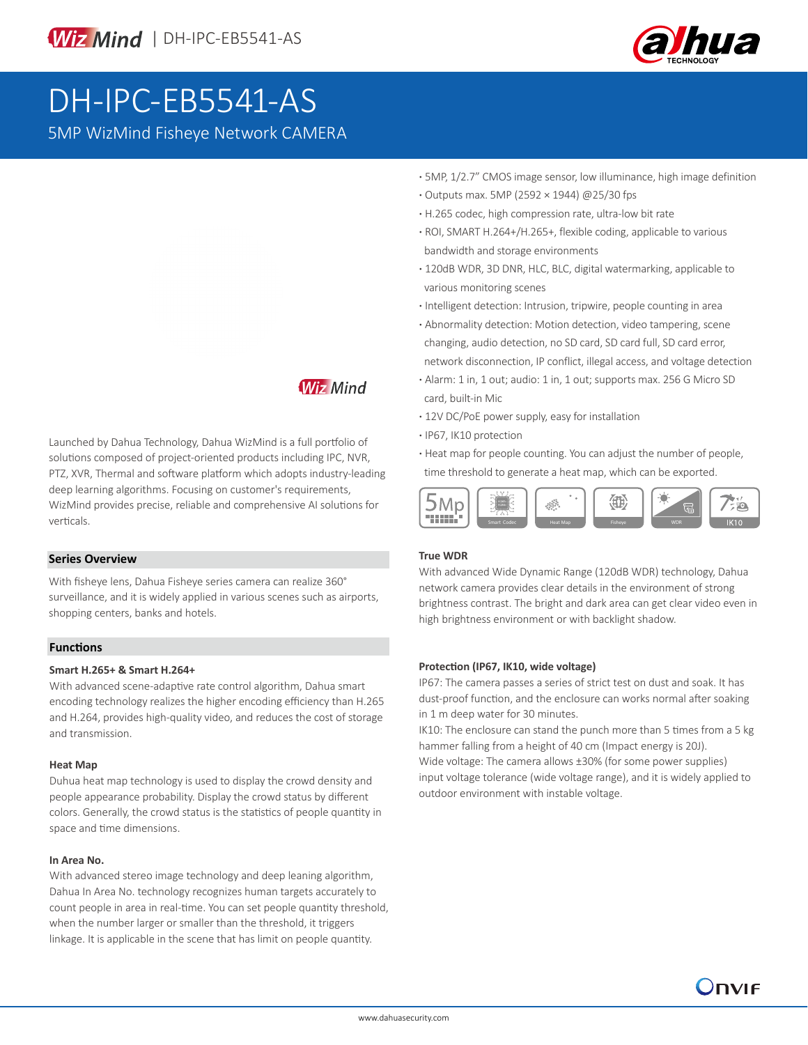

# DH-IPC-EB5541-AS

5MP WizMind Fisheye Network CAMERA

- **·** 5MP, 1/2.7" CMOS image sensor, low illuminance, high image definition
- **·** Outputs max. 5MP (2592 × 1944) @25/30 fps
- **·** H.265 codec, high compression rate, ultra-low bit rate
- **·** ROI, SMART H.264+/H.265+, flexible coding, applicable to various bandwidth and storage environments
- **·** 120dB WDR, 3D DNR, HLC, BLC, digital watermarking, applicable to various monitoring scenes
- **·** Intelligent detection: Intrusion, tripwire, people counting in area
- **·** Abnormality detection: Motion detection, video tampering, scene changing, audio detection, no SD card, SD card full, SD card error, network disconnection, IP conflict, illegal access, and voltage detection
- **·** Alarm: 1 in, 1 out; audio: 1 in, 1 out; supports max. 256 G Micro SD card, built-in Mic
- **·** 12V DC/PoE power supply, easy for installation
- **·** IP67, IK10 protection
- **·** Heat map for people counting. You can adjust the number of people, time threshold to generate a heat map, which can be exported.



# **True WDR**

With advanced Wide Dynamic Range (120dB WDR) technology, Dahua network camera provides clear details in the environment of strong brightness contrast. The bright and dark area can get clear video even in high brightness environment or with backlight shadow.

#### **Protection (IP67, IK10, wide voltage)**

IP67: The camera passes a series of strict test on dust and soak. It has dust-proof function, and the enclosure can works normal after soaking in 1 m deep water for 30 minutes.

IK10: The enclosure can stand the punch more than 5 times from a 5 kg hammer falling from a height of 40 cm (Impact energy is 20J). Wide voltage: The camera allows ±30% (for some power supplies) input voltage tolerance (wide voltage range), and it is widely applied to outdoor environment with instable voltage.

**Wiz Mind** 

Launched by Dahua Technology, Dahua WizMind is a full portfolio of solutions composed of project-oriented products including IPC, NVR, PTZ, XVR, Thermal and software platform which adopts industry-leading deep learning algorithms. Focusing on customer's requirements, WizMind provides precise, reliable and comprehensive AI solutions for  $\overline{\text{Verticals}}$ . Smart Codec Heat Map Fisheye WDR

# **Series Overview**

With fisheye lens, Dahua Fisheye series camera can realize 360° surveillance, and it is widely applied in various scenes such as airports, shopping centers, banks and hotels.

# **Functions**

# **Smart H.265+ & Smart H.264+**

With advanced scene-adaptive rate control algorithm, Dahua smart encoding technology realizes the higher encoding efficiency than H.265 and H.264, provides high-quality video, and reduces the cost of storage and transmission.

# **Heat Map**

Duhua heat map technology is used to display the crowd density and people appearance probability. Display the crowd status by different colors. Generally, the crowd status is the statistics of people quantity in space and time dimensions.

# **In Area No.**

With advanced stereo image technology and deep leaning algorithm, Dahua In Area No. technology recognizes human targets accurately to count people in area in real-time. You can set people quantity threshold, when the number larger or smaller than the threshold, it triggers linkage. It is applicable in the scene that has limit on people quantity.

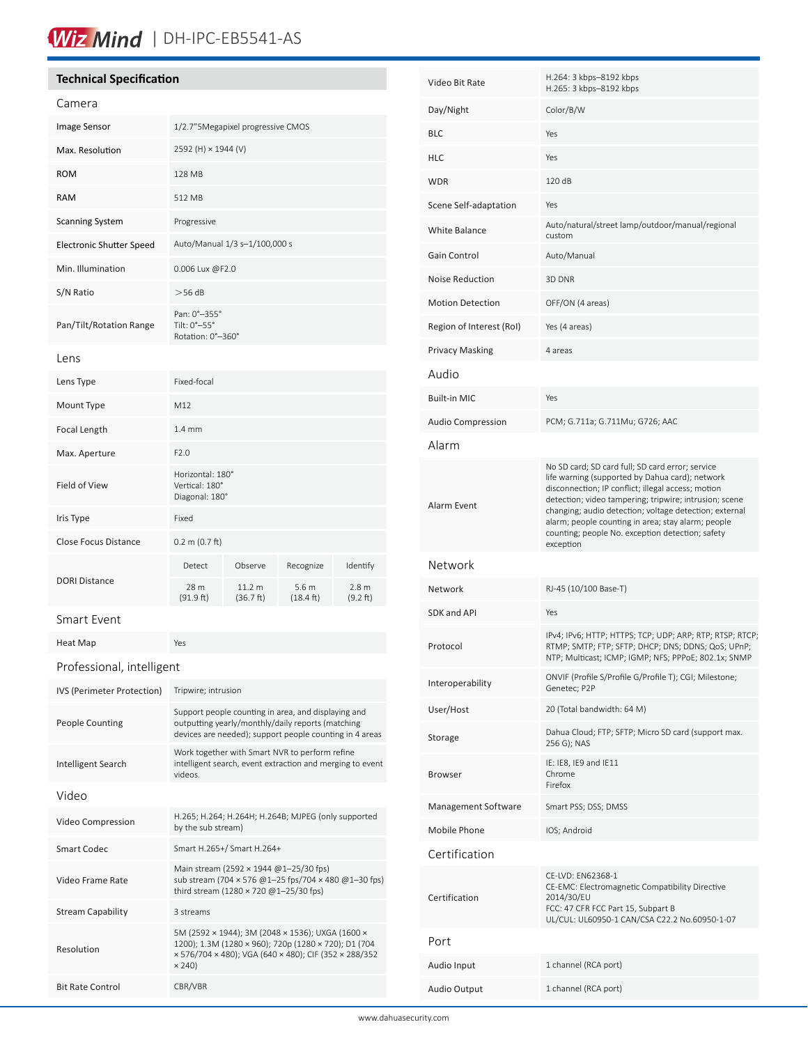# Wiz Mind | DH-IPC-EB5541-AS

# **Technical Specification**

| Camera                          |                                                                                                                                                                                    |                     |                                         |                              |
|---------------------------------|------------------------------------------------------------------------------------------------------------------------------------------------------------------------------------|---------------------|-----------------------------------------|------------------------------|
| Image Sensor                    | 1/2.7"5Megapixel progressive CMOS                                                                                                                                                  |                     |                                         |                              |
| Max. Resolution                 | 2592 (H) × 1944 (V)                                                                                                                                                                |                     |                                         |                              |
| <b>ROM</b>                      | 128 MB                                                                                                                                                                             |                     |                                         |                              |
| <b>RAM</b>                      | 512 MB                                                                                                                                                                             |                     |                                         |                              |
| <b>Scanning System</b>          | Progressive                                                                                                                                                                        |                     |                                         |                              |
| <b>Electronic Shutter Speed</b> | Auto/Manual 1/3 s-1/100,000 s                                                                                                                                                      |                     |                                         |                              |
| Min. Illumination               | 0.006 Lux @F2.0                                                                                                                                                                    |                     |                                         |                              |
| S/N Ratio                       | $>$ 56 dB                                                                                                                                                                          |                     |                                         |                              |
| Pan/Tilt/Rotation Range         | Pan: 0°-355°<br>Tilt: 0°-55°<br>Rotation: 0°-360°                                                                                                                                  |                     |                                         |                              |
| Lens                            |                                                                                                                                                                                    |                     |                                         |                              |
| Lens Type                       | Fixed-focal                                                                                                                                                                        |                     |                                         |                              |
| Mount Type                      | M12                                                                                                                                                                                |                     |                                         |                              |
| Focal Length                    | 1.4 <sub>mm</sub>                                                                                                                                                                  |                     |                                         |                              |
| Max. Aperture                   | F2.0                                                                                                                                                                               |                     |                                         |                              |
| Field of View                   | Horizontal: 180°<br>Vertical: 180°<br>Diagonal: 180°                                                                                                                               |                     |                                         |                              |
| Iris Type                       | Fixed                                                                                                                                                                              |                     |                                         |                              |
| <b>Close Focus Distance</b>     | $0.2 \text{ m } (0.7 \text{ ft})$                                                                                                                                                  |                     |                                         |                              |
|                                 | Detect                                                                                                                                                                             | Observe             | Recognize                               | Identify                     |
| <b>DORI Distance</b>            | 28 m<br>(91.9 ft)                                                                                                                                                                  | 11.2 m<br>(36.7 ft) | 5.6 <sub>m</sub><br>$(18.4 \text{ ft})$ | 2.8 <sub>m</sub><br>(9.2 ft) |
| Smart Event                     |                                                                                                                                                                                    |                     |                                         |                              |
| Heat Map                        | Yes                                                                                                                                                                                |                     |                                         |                              |
| Professional, intelligent       |                                                                                                                                                                                    |                     |                                         |                              |
| IVS (Perimeter Protection)      | Tripwire; intrusion                                                                                                                                                                |                     |                                         |                              |
| <b>People Counting</b>          | Support people counting in area, and displaying and<br>outputting yearly/monthly/daily reports (matching<br>devices are needed); support people counting in 4 areas                |                     |                                         |                              |
| Intelligent Search              | Work together with Smart NVR to perform refine<br>intelligent search, event extraction and merging to event<br>videos.                                                             |                     |                                         |                              |
| Video                           |                                                                                                                                                                                    |                     |                                         |                              |
| Video Compression               | H.265; H.264; H.264H; H.264B; MJPEG (only supported<br>by the sub stream)                                                                                                          |                     |                                         |                              |
| <b>Smart Codec</b>              | Smart H.265+/ Smart H.264+                                                                                                                                                         |                     |                                         |                              |
| Video Frame Rate                | Main stream (2592 × 1944 @1-25/30 fps)<br>sub stream (704 × 576 @1-25 fps/704 × 480 @1-30 fps)<br>third stream $(1280 \times 720 \text{ @ } 1-25/30 \text{ fs})$                   |                     |                                         |                              |
| <b>Stream Capability</b>        | 3 streams                                                                                                                                                                          |                     |                                         |                              |
| Resolution                      | 5M (2592 × 1944); 3M (2048 × 1536); UXGA (1600 ×<br>1200); 1.3M (1280 × 960); 720p (1280 × 720); D1 (704<br>× 576/704 × 480); VGA (640 × 480); CIF (352 × 288/352<br>$\times$ 240) |                     |                                         |                              |
| <b>Bit Rate Control</b>         | CBR/VBR                                                                                                                                                                            |                     |                                         |                              |

| Video Bit Rate           | H.264: 3 kbps-8192 kbps<br>H.265: 3 kbps-8192 kbps                                                                                                                                                                                                                                                                                                                                                   |  |
|--------------------------|------------------------------------------------------------------------------------------------------------------------------------------------------------------------------------------------------------------------------------------------------------------------------------------------------------------------------------------------------------------------------------------------------|--|
| Day/Night                | Color/B/W                                                                                                                                                                                                                                                                                                                                                                                            |  |
| <b>BLC</b>               | Yes                                                                                                                                                                                                                                                                                                                                                                                                  |  |
| <b>HLC</b>               | Yes                                                                                                                                                                                                                                                                                                                                                                                                  |  |
| <b>WDR</b>               | 120 dB                                                                                                                                                                                                                                                                                                                                                                                               |  |
| Scene Self-adaptation    | Yes                                                                                                                                                                                                                                                                                                                                                                                                  |  |
| White Balance            | Auto/natural/street lamp/outdoor/manual/regional<br>custom                                                                                                                                                                                                                                                                                                                                           |  |
| Gain Control             | Auto/Manual                                                                                                                                                                                                                                                                                                                                                                                          |  |
| Noise Reduction          | 3D DNR                                                                                                                                                                                                                                                                                                                                                                                               |  |
| <b>Motion Detection</b>  | OFF/ON (4 areas)                                                                                                                                                                                                                                                                                                                                                                                     |  |
| Region of Interest (RoI) | Yes (4 areas)                                                                                                                                                                                                                                                                                                                                                                                        |  |
| <b>Privacy Masking</b>   | 4 areas                                                                                                                                                                                                                                                                                                                                                                                              |  |
| Audio                    |                                                                                                                                                                                                                                                                                                                                                                                                      |  |
| <b>Built-in MIC</b>      | Yes                                                                                                                                                                                                                                                                                                                                                                                                  |  |
| <b>Audio Compression</b> | PCM; G.711a; G.711Mu; G726; AAC                                                                                                                                                                                                                                                                                                                                                                      |  |
| Alarm                    |                                                                                                                                                                                                                                                                                                                                                                                                      |  |
| Alarm Event              | No SD card; SD card full; SD card error; service<br>life warning (supported by Dahua card); network<br>disconnection; IP conflict; illegal access; motion<br>detection; video tampering; tripwire; intrusion; scene<br>changing; audio detection; voltage detection; external<br>alarm; people counting in area; stay alarm; people<br>counting; people No. exception detection; safety<br>exception |  |
| Network                  |                                                                                                                                                                                                                                                                                                                                                                                                      |  |
| Network                  | RJ-45 (10/100 Base-T)                                                                                                                                                                                                                                                                                                                                                                                |  |
| <b>SDK and API</b>       | Yes                                                                                                                                                                                                                                                                                                                                                                                                  |  |
| Protocol                 | IPv4; IPv6; HTTP; HTTPS; TCP; UDP; ARP; RTP; RTSP; RTCP;<br>RTMP; SMTP; FTP; SFTP; DHCP; DNS; DDNS; QoS; UPnP;<br>NTP; Multicast; ICMP; IGMP; NFS; PPPoE; 802.1x; SNMP                                                                                                                                                                                                                               |  |
| Interoperability         | ONVIF (Profile S/Profile G/Profile T); CGI; Milestone;<br>Genetec; P2P                                                                                                                                                                                                                                                                                                                               |  |
| User/Host                | 20 (Total bandwidth: 64 M)                                                                                                                                                                                                                                                                                                                                                                           |  |
| Storage                  | Dahua Cloud; FTP; SFTP; Micro SD card (support max.<br>256 G); NAS                                                                                                                                                                                                                                                                                                                                   |  |
| <b>Browser</b>           | IE: IE8, IE9 and IE11<br>Chrome<br>Firefox                                                                                                                                                                                                                                                                                                                                                           |  |
| Management Software      | Smart PSS; DSS; DMSS                                                                                                                                                                                                                                                                                                                                                                                 |  |
| Mobile Phone             | IOS; Android                                                                                                                                                                                                                                                                                                                                                                                         |  |
| Certification            |                                                                                                                                                                                                                                                                                                                                                                                                      |  |
| Certification            | CE-LVD: EN62368-1<br>CE-EMC: Electromagnetic Compatibility Directive<br>2014/30/EU<br>FCC: 47 CFR FCC Part 15, Subpart B<br>UL/CUL: UL60950-1 CAN/CSA C22.2 No.60950-1-07                                                                                                                                                                                                                            |  |
| Port                     |                                                                                                                                                                                                                                                                                                                                                                                                      |  |
| Audio Input              | 1 channel (RCA port)                                                                                                                                                                                                                                                                                                                                                                                 |  |
| Audio Output             | 1 channel (RCA port)                                                                                                                                                                                                                                                                                                                                                                                 |  |